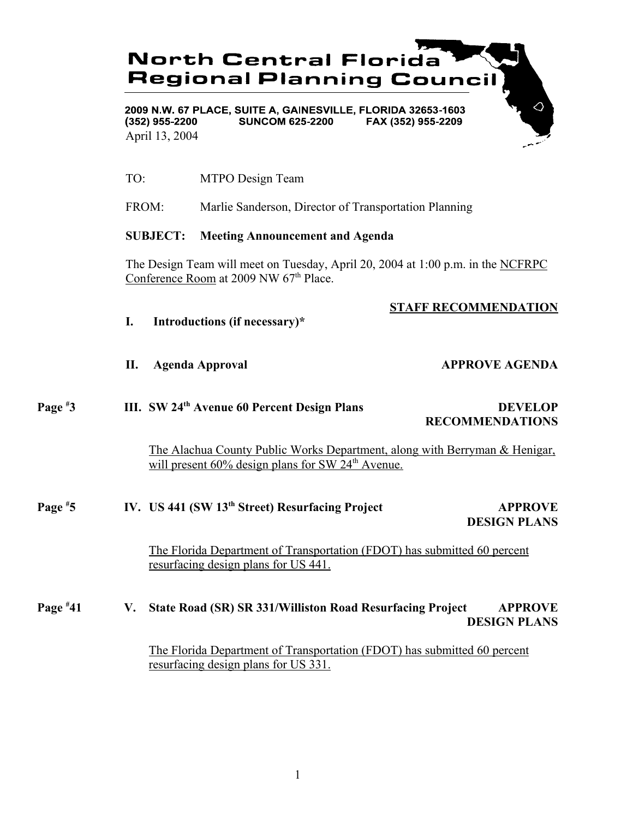# **North Central Florida Regional Planning Council**

2009 N.W. 67 PLACE, SUITE A, GAINESVILLE, FLORIDA 32653-1603  $(352)$  955-2200 **SUNCOM 625-2200** FAX (352) 955-2209 April 13, 2004

- TO: MTPO Design Team
- FROM: Marlie Sanderson, Director of Transportation Planning

### **SUBJECT: Meeting Announcement and Agenda**

The Design Team will meet on Tuesday, April 20, 2004 at 1:00 p.m. in the NCFRPC Conference Room at 2009 NW 67<sup>th</sup> Place.

## **STAFF RECOMMENDATION**

- **I. Introductions (if necessary)\***
- 

#### **II.** Agenda Approval **APPROVE AGENDA**

### **Page # III. SW 24<sup>th</sup> Avenue 60 Percent Design Plans DEVELOP RECOMMENDATIONS**

The Alachua County Public Works Department, along with Berryman & Henigar, will present  $60\%$  design plans for SW  $24<sup>th</sup>$  Avenue.

#### **Page # 5 IV. US 441 (SW 13th Street) Resurfacing Project APPROVE DESIGN PLANS**

The Florida Department of Transportation (FDOT) has submitted 60 percent resurfacing design plans for US 441.

#### **Page # 41 V. State Road (SR) SR 331/Williston Road Resurfacing Project APPROVE DESIGN PLANS**

The Florida Department of Transportation (FDOT) has submitted 60 percent resurfacing design plans for US 331.